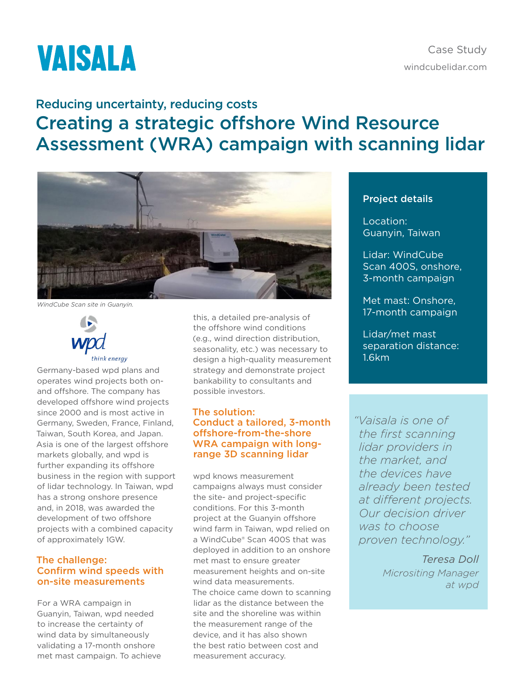# **VAISALA**

Case Study [windcubelidar.com](http://www.windcubelidar.com)

## Reducing uncertainty, reducing costs Creating a strategic offshore Wind Resource Assessment (WRA) campaign with scanning lidar



*WindCube Scan site in Guanyin.*



Germany-based wpd plans and operates wind projects both onand offshore. The company has developed offshore wind projects since 2000 and is most active in Germany, Sweden, France, Finland, Taiwan, South Korea, and Japan. Asia is one of the largest offshore markets globally, and wpd is further expanding its offshore business in the region with support of lidar technology. In Taiwan, wpd has a strong onshore presence and, in 2018, was awarded the development of two offshore projects with a combined capacity of approximately 1GW.

#### The challenge: Confirm wind speeds with on-site measurements

For a WRA campaign in Guanyin, Taiwan, wpd needed to increase the certainty of wind data by simultaneously validating a 17-month onshore met mast campaign. To achieve

this, a detailed pre-analysis of the offshore wind conditions (e.g., wind direction distribution, seasonality, etc.) was necessary to design a high-quality measurement strategy and demonstrate project bankability to consultants and possible investors.

### The solution: Conduct a tailored, 3-month offshore-from-the-shore WRA campaign with longrange 3D scanning lidar

wpd knows measurement campaigns always must consider the site- and project-specific conditions. For this 3-month project at the Guanyin offshore wind farm in Taiwan, wpd relied on a WindCube® Scan 400S that was deployed in addition to an onshore met mast to ensure greater measurement heights and on-site wind data measurements. The choice came down to scanning lidar as the distance between the site and the shoreline was within the measurement range of the device, and it has also shown the best ratio between cost and measurement accuracy.

### Project details

Location: Guanyin, Taiwan

Lidar: WindCube Scan 400S, onshore, 3-month campaign

Met mast: Onshore, 17-month campaign

Lidar/met mast separation distance: 1.6km

*"Vaisala is one of the first scanning lidar providers in the market, and the devices have already been tested at different projects. Our decision driver was to choose proven technology."* 

> *Teresa Doll Micrositing Manager at wpd*